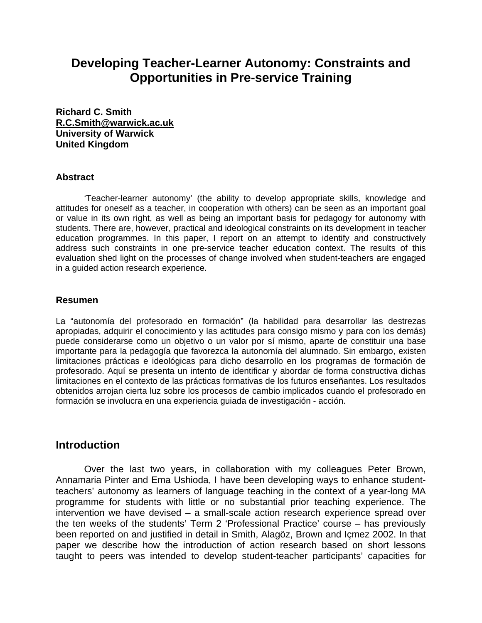# **Developing Teacher-Learner Autonomy: Constraints and Opportunities in Pre-service Training**

**Richard C. Smith [R.C.Smith@warwick.ac.uk](mailto:R.C.Smith@warwick.ac.uk) University of Warwick United Kingdom** 

#### **Abstract**

 'Teacher-learner autonomy' (the ability to develop appropriate skills, knowledge and attitudes for oneself as a teacher, in cooperation with others) can be seen as an important goal or value in its own right, as well as being an important basis for pedagogy for autonomy with students. There are, however, practical and ideological constraints on its development in teacher education programmes. In this paper, I report on an attempt to identify and constructively address such constraints in one pre-service teacher education context. The results of this evaluation shed light on the processes of change involved when student-teachers are engaged in a guided action research experience.

#### **Resumen**

La "autonomía del profesorado en formación" (la habilidad para desarrollar las destrezas apropiadas, adquirir el conocimiento y las actitudes para consigo mismo y para con los demás) puede considerarse como un objetivo o un valor por sí mismo, aparte de constituir una base importante para la pedagogía que favorezca la autonomía del alumnado. Sin embargo, existen limitaciones prácticas e ideológicas para dicho desarrollo en los programas de formación de profesorado. Aquí se presenta un intento de identificar y abordar de forma constructiva dichas limitaciones en el contexto de las prácticas formativas de los futuros enseñantes. Los resultados obtenidos arrojan cierta luz sobre los procesos de cambio implicados cuando el profesorado en formación se involucra en una experiencia guiada de investigación - acción.

### **Introduction**

 Over the last two years, in collaboration with my colleagues Peter Brown, Annamaria Pinter and Ema Ushioda, I have been developing ways to enhance studentteachers' autonomy as learners of language teaching in the context of a year-long MA programme for students with little or no substantial prior teaching experience. The intervention we have devised – a small-scale action research experience spread over the ten weeks of the students' Term 2 'Professional Practice' course – has previously been reported on and justified in detail in Smith, Alagöz, Brown and Içmez 2002. In that paper we describe how the introduction of action research based on short lessons taught to peers was intended to develop student-teacher participants' capacities for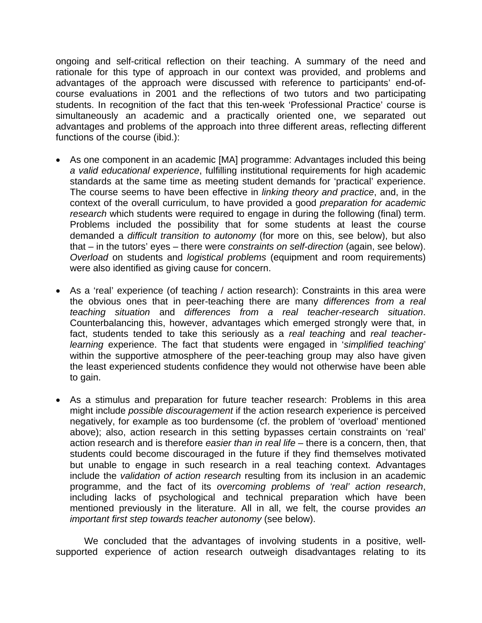ongoing and self-critical reflection on their teaching. A summary of the need and rationale for this type of approach in our context was provided, and problems and advantages of the approach were discussed with reference to participants' end-ofcourse evaluations in 2001 and the reflections of two tutors and two participating students. In recognition of the fact that this ten-week 'Professional Practice' course is simultaneously an academic and a practically oriented one, we separated out advantages and problems of the approach into three different areas, reflecting different functions of the course (ibid.):

- As one component in an academic [MA] programme: Advantages included this being *a valid educational experience*, fulfilling institutional requirements for high academic standards at the same time as meeting student demands for 'practical' experience. The course seems to have been effective in *linking theory and practice*, and, in the context of the overall curriculum, to have provided a good *preparation for academic research* which students were required to engage in during the following (final) term. Problems included the possibility that for some students at least the course demanded a *difficult transition to autonomy* (for more on this, see below), but also that – in the tutors' eyes – there were *constraints on self-direction* (again, see below). *Overload* on students and *logistical problems* (equipment and room requirements) were also identified as giving cause for concern.
- As a 'real' experience (of teaching / action research): Constraints in this area were the obvious ones that in peer-teaching there are many *differences from a real teaching situation* and *differences from a real teacher-research situation*. Counterbalancing this, however, advantages which emerged strongly were that, in fact, students tended to take this seriously as a *real teaching* and *real teacherlearning* experience. The fact that students were engaged in '*simplified teaching*' within the supportive atmosphere of the peer-teaching group may also have given the least experienced students confidence they would not otherwise have been able to gain.
- As a stimulus and preparation for future teacher research: Problems in this area might include *possible discouragement* if the action research experience is perceived negatively, for example as too burdensome (cf. the problem of 'overload' mentioned above); also, action research in this setting bypasses certain constraints on 'real' action research and is therefore *easier than in real life* – there is a concern, then, that students could become discouraged in the future if they find themselves motivated but unable to engage in such research in a real teaching context. Advantages include the *validation of action research* resulting from its inclusion in an academic programme, and the fact of its *overcoming problems of 'real' action research*, including lacks of psychological and technical preparation which have been mentioned previously in the literature. All in all, we felt, the course provides *an important first step towards teacher autonomy* (see below).

 We concluded that the advantages of involving students in a positive, wellsupported experience of action research outweigh disadvantages relating to its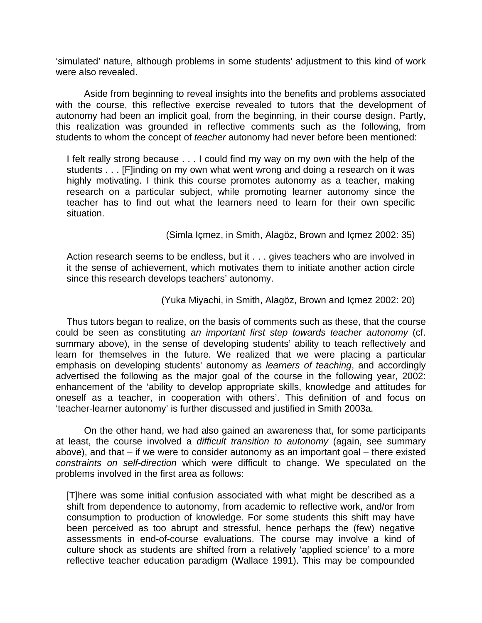'simulated' nature, although problems in some students' adjustment to this kind of work were also revealed.

 Aside from beginning to reveal insights into the benefits and problems associated with the course, this reflective exercise revealed to tutors that the development of autonomy had been an implicit goal, from the beginning, in their course design. Partly, this realization was grounded in reflective comments such as the following, from students to whom the concept of *teacher* autonomy had never before been mentioned:

I felt really strong because . . . I could find my way on my own with the help of the students . . . [F]inding on my own what went wrong and doing a research on it was highly motivating. I think this course promotes autonomy as a teacher, making research on a particular subject, while promoting learner autonomy since the teacher has to find out what the learners need to learn for their own specific situation.

(Simla Içmez, in Smith, Alagöz, Brown and Içmez 2002: 35)

Action research seems to be endless, but it . . . gives teachers who are involved in it the sense of achievement, which motivates them to initiate another action circle since this research develops teachers' autonomy.

#### (Yuka Miyachi, in Smith, Alagöz, Brown and Içmez 2002: 20)

Thus tutors began to realize, on the basis of comments such as these, that the course could be seen as constituting *an important first step towards teacher autonomy* (cf. summary above), in the sense of developing students' ability to teach reflectively and learn for themselves in the future. We realized that we were placing a particular emphasis on developing students' autonomy as *learners of teaching*, and accordingly advertised the following as the major goal of the course in the following year, 2002: enhancement of the 'ability to develop appropriate skills, knowledge and attitudes for oneself as a teacher, in cooperation with others'. This definition of and focus on 'teacher-learner autonomy' is further discussed and justified in Smith 2003a.

 On the other hand, we had also gained an awareness that, for some participants at least, the course involved a *difficult transition to autonomy* (again, see summary above), and that – if we were to consider autonomy as an important goal – there existed *constraints on self-direction* which were difficult to change. We speculated on the problems involved in the first area as follows:

[T]here was some initial confusion associated with what might be described as a shift from dependence to autonomy, from academic to reflective work, and/or from consumption to production of knowledge. For some students this shift may have been perceived as too abrupt and stressful, hence perhaps the (few) negative assessments in end-of-course evaluations. The course may involve a kind of culture shock as students are shifted from a relatively 'applied science' to a more reflective teacher education paradigm (Wallace 1991). This may be compounded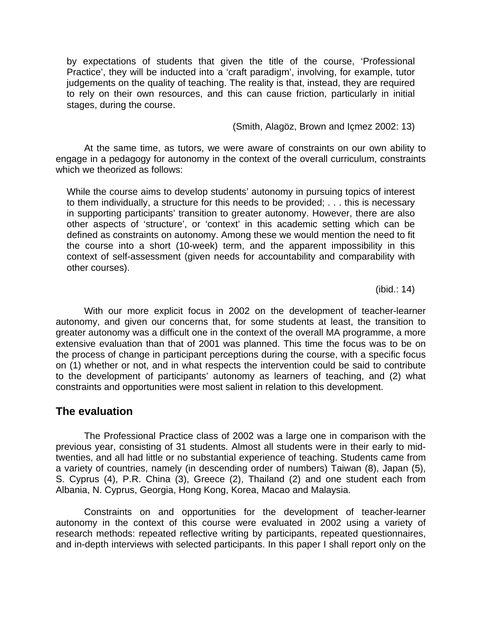by expectations of students that given the title of the course, 'Professional Practice', they will be inducted into a 'craft paradigm', involving, for example, tutor judgements on the quality of teaching. The reality is that, instead, they are required to rely on their own resources, and this can cause friction, particularly in initial stages, during the course.

(Smith, Alagöz, Brown and Içmez 2002: 13)

 At the same time, as tutors, we were aware of constraints on our own ability to engage in a pedagogy for autonomy in the context of the overall curriculum, constraints which we theorized as follows:

While the course aims to develop students' autonomy in pursuing topics of interest to them individually, a structure for this needs to be provided; . . . this is necessary in supporting participants' transition to greater autonomy. However, there are also other aspects of 'structure', or 'context' in this academic setting which can be defined as constraints on autonomy. Among these we would mention the need to fit the course into a short (10-week) term, and the apparent impossibility in this context of self-assessment (given needs for accountability and comparability with other courses).

(ibid.: 14)

 With our more explicit focus in 2002 on the development of teacher-learner autonomy, and given our concerns that, for some students at least, the transition to greater autonomy was a difficult one in the context of the overall MA programme, a more extensive evaluation than that of 2001 was planned. This time the focus was to be on the process of change in participant perceptions during the course, with a specific focus on (1) whether or not, and in what respects the intervention could be said to contribute to the development of participants' autonomy as learners of teaching, and (2) what constraints and opportunities were most salient in relation to this development.

# **The evaluation**

 The Professional Practice class of 2002 was a large one in comparison with the previous year, consisting of 31 students. Almost all students were in their early to midtwenties, and all had little or no substantial experience of teaching. Students came from a variety of countries, namely (in descending order of numbers) Taiwan (8), Japan (5), S. Cyprus (4), P.R. China (3), Greece (2), Thailand (2) and one student each from Albania, N. Cyprus, Georgia, Hong Kong, Korea, Macao and Malaysia.

 Constraints on and opportunities for the development of teacher-learner autonomy in the context of this course were evaluated in 2002 using a variety of research methods: repeated reflective writing by participants, repeated questionnaires, and in-depth interviews with selected participants. In this paper I shall report only on the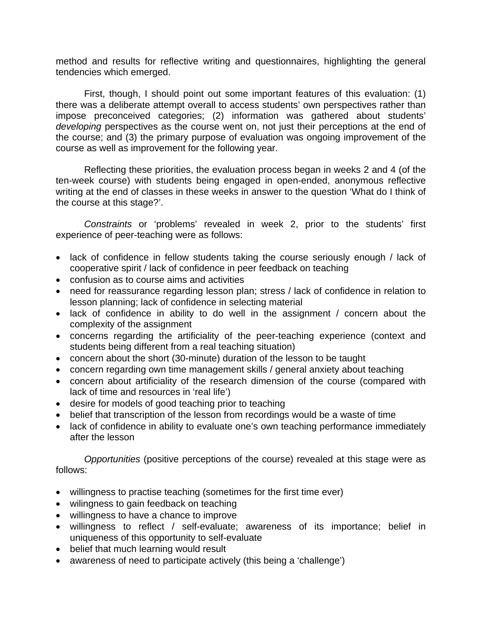method and results for reflective writing and questionnaires, highlighting the general tendencies which emerged.

 First, though, I should point out some important features of this evaluation: (1) there was a deliberate attempt overall to access students' own perspectives rather than impose preconceived categories; (2) information was gathered about students' *developing* perspectives as the course went on, not just their perceptions at the end of the course; and (3) the primary purpose of evaluation was ongoing improvement of the course as well as improvement for the following year.

 Reflecting these priorities, the evaluation process began in weeks 2 and 4 (of the ten-week course) with students being engaged in open-ended, anonymous reflective writing at the end of classes in these weeks in answer to the question 'What do I think of the course at this stage?'.

 *Constraints* or 'problems' revealed in week 2, prior to the students' first experience of peer-teaching were as follows:

- lack of confidence in fellow students taking the course seriously enough / lack of cooperative spirit / lack of confidence in peer feedback on teaching
- confusion as to course aims and activities
- need for reassurance regarding lesson plan; stress / lack of confidence in relation to lesson planning; lack of confidence in selecting material
- lack of confidence in ability to do well in the assignment / concern about the complexity of the assignment
- concerns regarding the artificiality of the peer-teaching experience (context and students being different from a real teaching situation)
- concern about the short (30-minute) duration of the lesson to be taught
- concern regarding own time management skills / general anxiety about teaching
- concern about artificiality of the research dimension of the course (compared with lack of time and resources in 'real life')
- desire for models of good teaching prior to teaching
- belief that transcription of the lesson from recordings would be a waste of time
- lack of confidence in ability to evaluate one's own teaching performance immediately after the lesson

 *Opportunities* (positive perceptions of the course) revealed at this stage were as follows:

- willingness to practise teaching (sometimes for the first time ever)
- wilingness to gain feedback on teaching
- willingness to have a chance to improve
- willingness to reflect / self-evaluate; awareness of its importance; belief in uniqueness of this opportunity to self-evaluate
- belief that much learning would result
- awareness of need to participate actively (this being a 'challenge')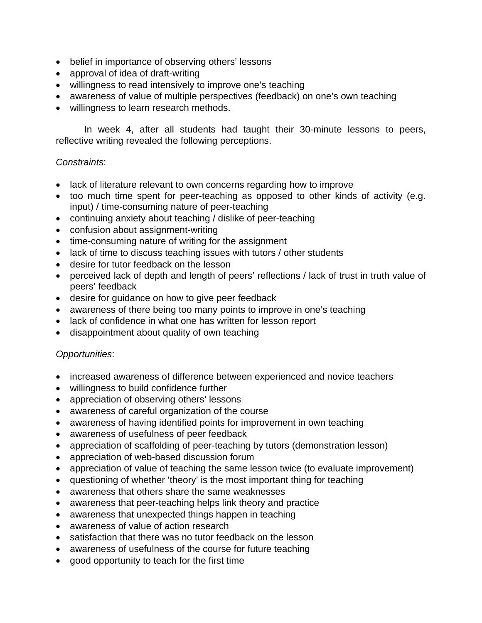- belief in importance of observing others' lessons
- approval of idea of draft-writing
- willingness to read intensively to improve one's teaching
- awareness of value of multiple perspectives (feedback) on one's own teaching
- willingness to learn research methods.

 In week 4, after all students had taught their 30-minute lessons to peers, reflective writing revealed the following perceptions.

#### *Constraints*:

- lack of literature relevant to own concerns regarding how to improve
- too much time spent for peer-teaching as opposed to other kinds of activity (e.g. input) / time-consuming nature of peer-teaching
- continuing anxiety about teaching / dislike of peer-teaching
- confusion about assignment-writing
- time-consuming nature of writing for the assignment
- lack of time to discuss teaching issues with tutors / other students
- desire for tutor feedback on the lesson
- perceived lack of depth and length of peers' reflections / lack of trust in truth value of peers' feedback
- desire for guidance on how to give peer feedback
- awareness of there being too many points to improve in one's teaching
- lack of confidence in what one has written for lesson report
- disappointment about quality of own teaching

#### *Opportunities*:

- increased awareness of difference between experienced and novice teachers
- willingness to build confidence further
- appreciation of observing others' lessons
- awareness of careful organization of the course
- awareness of having identified points for improvement in own teaching
- awareness of usefulness of peer feedback
- appreciation of scaffolding of peer-teaching by tutors (demonstration lesson)
- appreciation of web-based discussion forum
- appreciation of value of teaching the same lesson twice (to evaluate improvement)
- questioning of whether 'theory' is the most important thing for teaching
- awareness that others share the same weaknesses
- awareness that peer-teaching helps link theory and practice
- awareness that unexpected things happen in teaching
- awareness of value of action research
- satisfaction that there was no tutor feedback on the lesson
- awareness of usefulness of the course for future teaching
- good opportunity to teach for the first time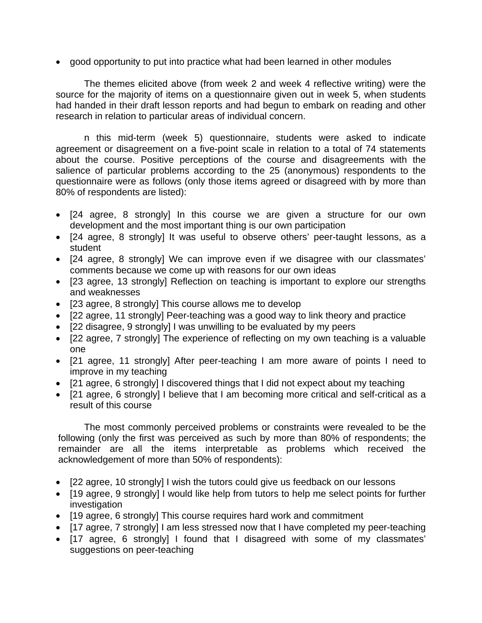• good opportunity to put into practice what had been learned in other modules

 The themes elicited above (from week 2 and week 4 reflective writing) were the source for the majority of items on a questionnaire given out in week 5, when students had handed in their draft lesson reports and had begun to embark on reading and other research in relation to particular areas of individual concern.

 n this mid-term (week 5) questionnaire, students were asked to indicate agreement or disagreement on a five-point scale in relation to a total of 74 statements about the course. Positive perceptions of the course and disagreements with the salience of particular problems according to the 25 (anonymous) respondents to the questionnaire were as follows (only those items agreed or disagreed with by more than 80% of respondents are listed):

- [24 agree, 8 strongly] In this course we are given a structure for our own development and the most important thing is our own participation
- [24 agree, 8 strongly] It was useful to observe others' peer-taught lessons, as a student
- [24 agree, 8 strongly] We can improve even if we disagree with our classmates' comments because we come up with reasons for our own ideas
- [23 agree, 13 strongly] Reflection on teaching is important to explore our strengths and weaknesses
- [23 agree, 8 strongly] This course allows me to develop
- [22 agree, 11 strongly] Peer-teaching was a good way to link theory and practice
- [22 disagree, 9 strongly] I was unwilling to be evaluated by my peers
- [22 agree, 7 strongly] The experience of reflecting on my own teaching is a valuable one
- [21 agree, 11 strongly] After peer-teaching I am more aware of points I need to improve in my teaching
- [21 agree, 6 strongly] I discovered things that I did not expect about my teaching
- [21 agree, 6 strongly] I believe that I am becoming more critical and self-critical as a result of this course

 The most commonly perceived problems or constraints were revealed to be the following (only the first was perceived as such by more than 80% of respondents; the remainder are all the items interpretable as problems which received the acknowledgement of more than 50% of respondents):

- [22 agree, 10 strongly] I wish the tutors could give us feedback on our lessons
- [19 agree, 9 strongly] I would like help from tutors to help me select points for further investigation
- [19 agree, 6 strongly] This course requires hard work and commitment
- [17 agree, 7 strongly] I am less stressed now that I have completed my peer-teaching
- [17 agree, 6 strongly] I found that I disagreed with some of my classmates' suggestions on peer-teaching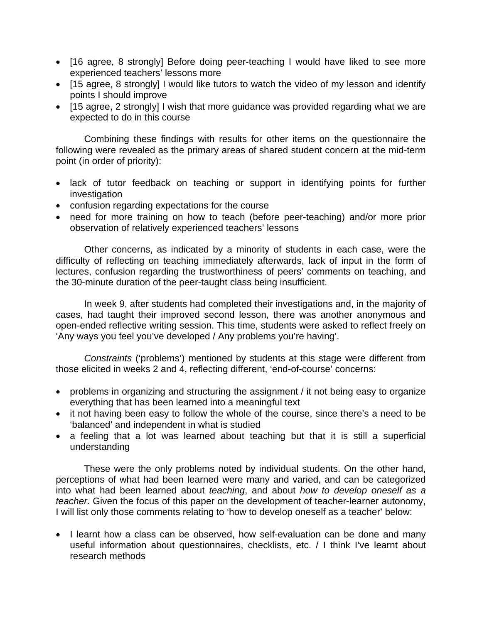- [16 agree, 8 strongly] Before doing peer-teaching I would have liked to see more experienced teachers' lessons more
- [15 agree, 8 strongly] I would like tutors to watch the video of my lesson and identify points I should improve
- [15 agree, 2 strongly] I wish that more guidance was provided regarding what we are expected to do in this course

 Combining these findings with results for other items on the questionnaire the following were revealed as the primary areas of shared student concern at the mid-term point (in order of priority):

- lack of tutor feedback on teaching or support in identifying points for further investigation
- confusion regarding expectations for the course
- need for more training on how to teach (before peer-teaching) and/or more prior observation of relatively experienced teachers' lessons

 Other concerns, as indicated by a minority of students in each case, were the difficulty of reflecting on teaching immediately afterwards, lack of input in the form of lectures, confusion regarding the trustworthiness of peers' comments on teaching, and the 30-minute duration of the peer-taught class being insufficient.

In week 9, after students had completed their investigations and, in the majority of cases, had taught their improved second lesson, there was another anonymous and open-ended reflective writing session. This time, students were asked to reflect freely on 'Any ways you feel you've developed / Any problems you're having'.

 *Constraints* ('problems') mentioned by students at this stage were different from those elicited in weeks 2 and 4, reflecting different, 'end-of-course' concerns:

- problems in organizing and structuring the assignment / it not being easy to organize everything that has been learned into a meaningful text
- it not having been easy to follow the whole of the course, since there's a need to be 'balanced' and independent in what is studied
- a feeling that a lot was learned about teaching but that it is still a superficial understanding

 These were the only problems noted by individual students. On the other hand, perceptions of what had been learned were many and varied, and can be categorized into what had been learned about *teaching*, and about *how to develop oneself as a teacher*. Given the focus of this paper on the development of teacher-learner autonomy, I will list only those comments relating to 'how to develop oneself as a teacher' below:

• I learnt how a class can be observed, how self-evaluation can be done and many useful information about questionnaires, checklists, etc. / I think I've learnt about research methods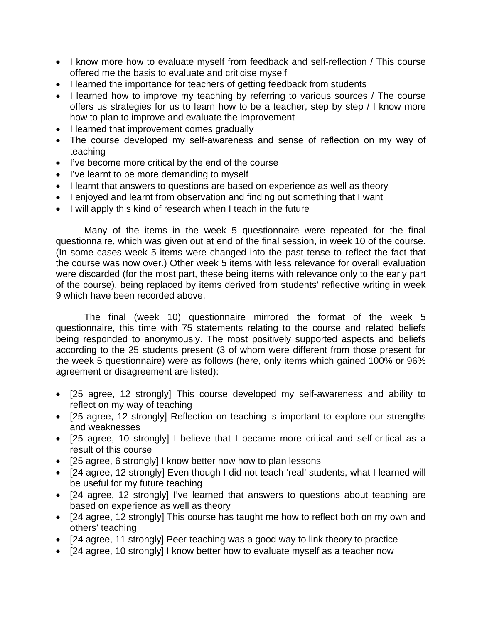- I know more how to evaluate myself from feedback and self-reflection / This course offered me the basis to evaluate and criticise myself
- I learned the importance for teachers of getting feedback from students
- I learned how to improve my teaching by referring to various sources / The course offers us strategies for us to learn how to be a teacher, step by step / I know more how to plan to improve and evaluate the improvement
- I learned that improvement comes gradually
- The course developed my self-awareness and sense of reflection on my way of teaching
- I've become more critical by the end of the course
- I've learnt to be more demanding to myself
- I learnt that answers to questions are based on experience as well as theory
- I enjoyed and learnt from observation and finding out something that I want
- I will apply this kind of research when I teach in the future

 Many of the items in the week 5 questionnaire were repeated for the final questionnaire, which was given out at end of the final session, in week 10 of the course. (In some cases week 5 items were changed into the past tense to reflect the fact that the course was now over.) Other week 5 items with less relevance for overall evaluation were discarded (for the most part, these being items with relevance only to the early part of the course), being replaced by items derived from students' reflective writing in week 9 which have been recorded above.

 The final (week 10) questionnaire mirrored the format of the week 5 questionnaire, this time with 75 statements relating to the course and related beliefs being responded to anonymously. The most positively supported aspects and beliefs according to the 25 students present (3 of whom were different from those present for the week 5 questionnaire) were as follows (here, only items which gained 100% or 96% agreement or disagreement are listed):

- [25 agree, 12 strongly] This course developed my self-awareness and ability to reflect on my way of teaching
- [25 agree, 12 strongly] Reflection on teaching is important to explore our strengths and weaknesses
- [25 agree, 10 strongly] I believe that I became more critical and self-critical as a result of this course
- [25 agree, 6 strongly] I know better now how to plan lessons
- [24 agree, 12 strongly] Even though I did not teach 'real' students, what I learned will be useful for my future teaching
- [24 agree, 12 strongly] I've learned that answers to questions about teaching are based on experience as well as theory
- [24 agree, 12 strongly] This course has taught me how to reflect both on my own and others' teaching
- [24 agree, 11 strongly] Peer-teaching was a good way to link theory to practice
- [24 agree, 10 strongly] I know better how to evaluate myself as a teacher now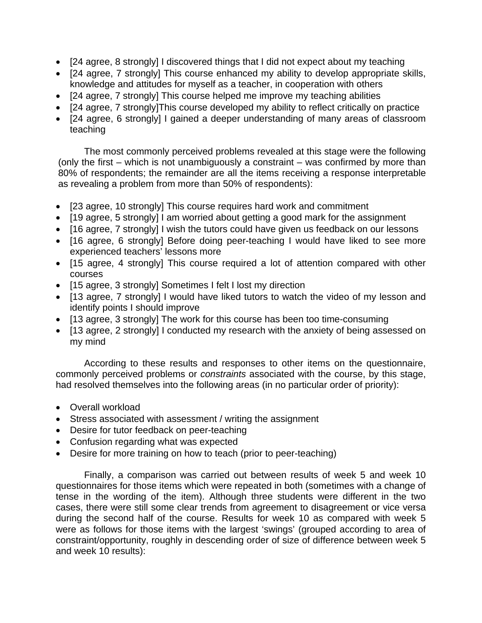- [24 agree, 8 strongly] I discovered things that I did not expect about my teaching
- [24 agree, 7 strongly] This course enhanced my ability to develop appropriate skills, knowledge and attitudes for myself as a teacher, in cooperation with others
- [24 agree, 7 strongly] This course helped me improve my teaching abilities
- [24 agree, 7 strongly]This course developed my ability to reflect critically on practice
- [24 agree, 6 strongly] I gained a deeper understanding of many areas of classroom teaching

 The most commonly perceived problems revealed at this stage were the following (only the first – which is not unambiguously a constraint – was confirmed by more than 80% of respondents; the remainder are all the items receiving a response interpretable as revealing a problem from more than 50% of respondents):

- [23 agree, 10 strongly] This course requires hard work and commitment
- [19 agree, 5 strongly] I am worried about getting a good mark for the assignment
- [16 agree, 7 strongly] I wish the tutors could have given us feedback on our lessons
- [16 agree, 6 strongly] Before doing peer-teaching I would have liked to see more experienced teachers' lessons more
- [15 agree, 4 strongly] This course required a lot of attention compared with other courses
- [15 agree, 3 strongly] Sometimes I felt I lost my direction
- [13 agree, 7 strongly] I would have liked tutors to watch the video of my lesson and identify points I should improve
- [13 agree, 3 strongly] The work for this course has been too time-consuming
- [13 agree, 2 strongly] I conducted my research with the anxiety of being assessed on my mind

 According to these results and responses to other items on the questionnaire, commonly perceived problems or *constraints* associated with the course, by this stage, had resolved themselves into the following areas (in no particular order of priority):

- Overall workload
- Stress associated with assessment / writing the assignment
- Desire for tutor feedback on peer-teaching
- Confusion regarding what was expected
- Desire for more training on how to teach (prior to peer-teaching)

 Finally, a comparison was carried out between results of week 5 and week 10 questionnaires for those items which were repeated in both (sometimes with a change of tense in the wording of the item). Although three students were different in the two cases, there were still some clear trends from agreement to disagreement or vice versa during the second half of the course. Results for week 10 as compared with week 5 were as follows for those items with the largest 'swings' (grouped according to area of constraint/opportunity, roughly in descending order of size of difference between week 5 and week 10 results):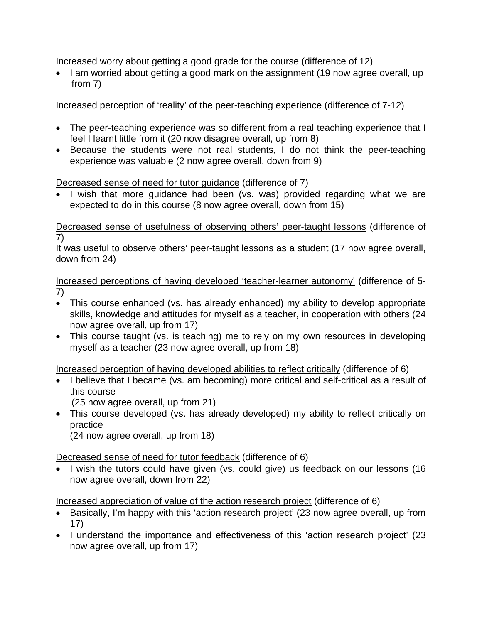Increased worry about getting a good grade for the course (difference of 12)

• I am worried about getting a good mark on the assignment (19 now agree overall, up from 7)

Increased perception of 'reality' of the peer-teaching experience (difference of 7-12)

- The peer-teaching experience was so different from a real teaching experience that I feel I learnt little from it (20 now disagree overall, up from 8)
- Because the students were not real students, I do not think the peer-teaching experience was valuable (2 now agree overall, down from 9)

#### Decreased sense of need for tutor guidance (difference of 7)

• I wish that more guidance had been (vs. was) provided regarding what we are expected to do in this course (8 now agree overall, down from 15)

Decreased sense of usefulness of observing others' peer-taught lessons (difference of 7)

It was useful to observe others' peer-taught lessons as a student (17 now agree overall, down from 24)

Increased perceptions of having developed 'teacher-learner autonomy' (difference of 5- 7)

- This course enhanced (vs. has already enhanced) my ability to develop appropriate skills, knowledge and attitudes for myself as a teacher, in cooperation with others (24 now agree overall, up from 17)
- This course taught (vs. is teaching) me to rely on my own resources in developing myself as a teacher (23 now agree overall, up from 18)

Increased perception of having developed abilities to reflect critically (difference of 6)

- I believe that I became (vs. am becoming) more critical and self-critical as a result of this course (25 now agree overall, up from 21)
- This course developed (vs. has already developed) my ability to reflect critically on practice

(24 now agree overall, up from 18)

Decreased sense of need for tutor feedback (difference of 6)

• I wish the tutors could have given (vs. could give) us feedback on our lessons (16 now agree overall, down from 22)

Increased appreciation of value of the action research project (difference of 6)

- Basically, I'm happy with this 'action research project' (23 now agree overall, up from 17)
- I understand the importance and effectiveness of this 'action research project' (23 now agree overall, up from 17)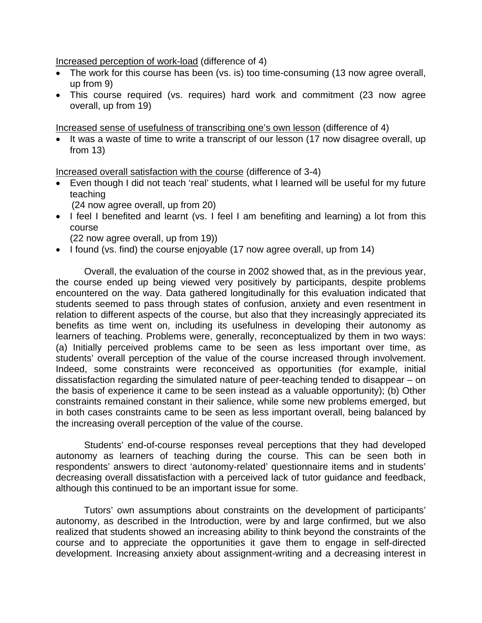Increased perception of work-load (difference of 4)

- The work for this course has been (vs. is) too time-consuming (13 now agree overall, up from 9)
- This course required (vs. requires) hard work and commitment (23 now agree overall, up from 19)

Increased sense of usefulness of transcribing one's own lesson (difference of 4)

• It was a waste of time to write a transcript of our lesson (17 now disagree overall, up from 13)

Increased overall satisfaction with the course (difference of 3-4)

• Even though I did not teach 'real' students, what I learned will be useful for my future teaching

(24 now agree overall, up from 20)

• I feel I benefited and learnt (vs. I feel I am benefiting and learning) a lot from this course

(22 now agree overall, up from 19))

• I found (vs. find) the course enjoyable (17 now agree overall, up from 14)

 Overall, the evaluation of the course in 2002 showed that, as in the previous year, the course ended up being viewed very positively by participants, despite problems encountered on the way. Data gathered longitudinally for this evaluation indicated that students seemed to pass through states of confusion, anxiety and even resentment in relation to different aspects of the course, but also that they increasingly appreciated its benefits as time went on, including its usefulness in developing their autonomy as learners of teaching. Problems were, generally, reconceptualized by them in two ways: (a) Initially perceived problems came to be seen as less important over time, as students' overall perception of the value of the course increased through involvement. Indeed, some constraints were reconceived as opportunities (for example, initial dissatisfaction regarding the simulated nature of peer-teaching tended to disappear – on the basis of experience it came to be seen instead as a valuable opportunity); (b) Other constraints remained constant in their salience, while some new problems emerged, but in both cases constraints came to be seen as less important overall, being balanced by the increasing overall perception of the value of the course.

 Students' end-of-course responses reveal perceptions that they had developed autonomy as learners of teaching during the course. This can be seen both in respondents' answers to direct 'autonomy-related' questionnaire items and in students' decreasing overall dissatisfaction with a perceived lack of tutor guidance and feedback, although this continued to be an important issue for some.

 Tutors' own assumptions about constraints on the development of participants' autonomy, as described in the Introduction, were by and large confirmed, but we also realized that students showed an increasing ability to think beyond the constraints of the course and to appreciate the opportunities it gave them to engage in self-directed development. Increasing anxiety about assignment-writing and a decreasing interest in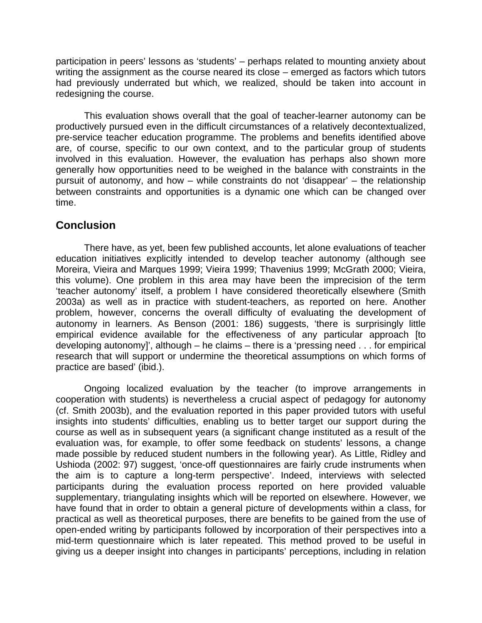participation in peers' lessons as 'students' – perhaps related to mounting anxiety about writing the assignment as the course neared its close – emerged as factors which tutors had previously underrated but which, we realized, should be taken into account in redesigning the course.

 This evaluation shows overall that the goal of teacher-learner autonomy can be productively pursued even in the difficult circumstances of a relatively decontextualized, pre-service teacher education programme. The problems and benefits identified above are, of course, specific to our own context, and to the particular group of students involved in this evaluation. However, the evaluation has perhaps also shown more generally how opportunities need to be weighed in the balance with constraints in the pursuit of autonomy, and how – while constraints do not 'disappear' – the relationship between constraints and opportunities is a dynamic one which can be changed over time.

### **Conclusion**

 There have, as yet, been few published accounts, let alone evaluations of teacher education initiatives explicitly intended to develop teacher autonomy (although see Moreira, Vieira and Marques 1999; Vieira 1999; Thavenius 1999; McGrath 2000; Vieira, this volume). One problem in this area may have been the imprecision of the term 'teacher autonomy' itself, a problem I have considered theoretically elsewhere (Smith 2003a) as well as in practice with student-teachers, as reported on here. Another problem, however, concerns the overall difficulty of evaluating the development of autonomy in learners. As Benson (2001: 186) suggests, 'there is surprisingly little empirical evidence available for the effectiveness of any particular approach [to developing autonomy]', although – he claims – there is a 'pressing need . . . for empirical research that will support or undermine the theoretical assumptions on which forms of practice are based' (ibid.).

 Ongoing localized evaluation by the teacher (to improve arrangements in cooperation with students) is nevertheless a crucial aspect of pedagogy for autonomy (cf. Smith 2003b), and the evaluation reported in this paper provided tutors with useful insights into students' difficulties, enabling us to better target our support during the course as well as in subsequent years (a significant change instituted as a result of the evaluation was, for example, to offer some feedback on students' lessons, a change made possible by reduced student numbers in the following year). As Little, Ridley and Ushioda (2002: 97) suggest, 'once-off questionnaires are fairly crude instruments when the aim is to capture a long-term perspective'. Indeed, interviews with selected participants during the evaluation process reported on here provided valuable supplementary, triangulating insights which will be reported on elsewhere. However, we have found that in order to obtain a general picture of developments within a class, for practical as well as theoretical purposes, there are benefits to be gained from the use of open-ended writing by participants followed by incorporation of their perspectives into a mid-term questionnaire which is later repeated. This method proved to be useful in giving us a deeper insight into changes in participants' perceptions, including in relation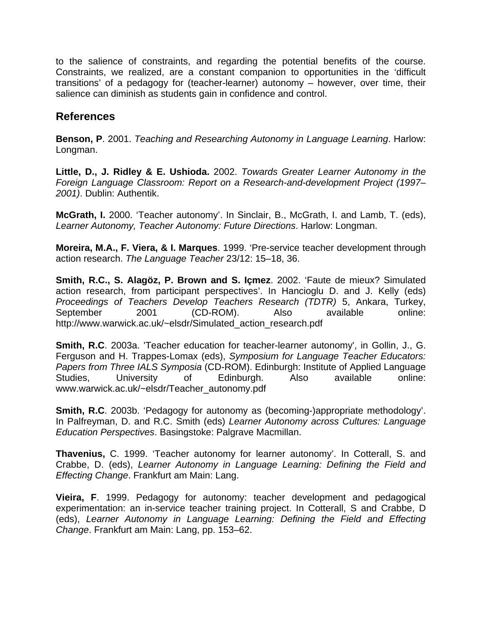to the salience of constraints, and regarding the potential benefits of the course. Constraints, we realized, are a constant companion to opportunities in the 'difficult transitions' of a pedagogy for (teacher-learner) autonomy – however, over time, their salience can diminish as students gain in confidence and control.

## **References**

**Benson, P**. 2001. *Teaching and Researching Autonomy in Language Learning*. Harlow: Longman.

**Little, D., J. Ridley & E. Ushioda.** 2002. *Towards Greater Learner Autonomy in the Foreign Language Classroom: Report on a Research-and-development Project (1997– 2001)*. Dublin: Authentik.

**McGrath, I.** 2000. 'Teacher autonomy'. In Sinclair, B., McGrath, I. and Lamb, T. (eds), *Learner Autonomy, Teacher Autonomy: Future Directions*. Harlow: Longman.

**Moreira, M.A., F. Viera, & I. Marques**. 1999. 'Pre-service teacher development through action research. *The Language Teacher* 23/12: 15–18, 36.

**Smith, R.C., S. Alagöz, P. Brown and S. Içmez**. 2002. 'Faute de mieux? Simulated action research, from participant perspectives'. In Hancioglu D. and J. Kelly (eds) *Proceedings of Teachers Develop Teachers Research (TDTR)* 5, Ankara, Turkey, September 2001 (CD-ROM). Also available online: [http://www.warwick.ac.uk/~elsdr/Simulated\\_action\\_research.pdf](http://www.warwick.ac.uk/%7Eelsdr/Simulated_action_research.pdf)

**Smith, R.C**. 2003a. 'Teacher education for teacher-learner autonomy', in Gollin, J., G. Ferguson and H. Trappes-Lomax (eds), *Symposium for Language Teacher Educators: Papers from Three IALS Symposia* (CD-ROM). Edinburgh: Institute of Applied Language Studies, University of Edinburgh. Also available online: [www.warwick.ac.uk/~elsdr/Teacher\\_autonomy.pdf](http://www.warwick.ac.uk/%7Eelsdr/Teacher_autonomy.pdf)

**Smith, R.C**. 2003b. 'Pedagogy for autonomy as (becoming-)appropriate methodology'. In Palfreyman, D. and R.C. Smith (eds) *Learner Autonomy across Cultures: Language Education Perspectives*. Basingstoke: Palgrave Macmillan.

**Thavenius,** C. 1999. 'Teacher autonomy for learner autonomy'. In Cotterall, S. and Crabbe, D. (eds), *Learner Autonomy in Language Learning: Defining the Field and Effecting Change*. Frankfurt am Main: Lang.

**Vieira, F**. 1999. Pedagogy for autonomy: teacher development and pedagogical experimentation: an in-service teacher training project. In Cotterall, S and Crabbe, D (eds), *Learner Autonomy in Language Learning: Defining the Field and Effecting Change*. Frankfurt am Main: Lang, pp. 153–62.